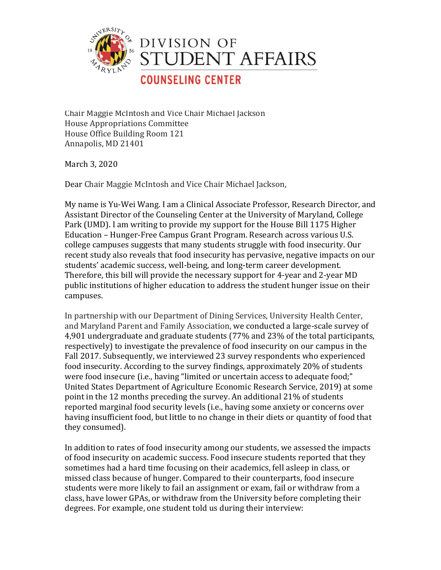

Chair Maggie McIntosh and Vice Chair Michael Jackson House Appropriations Committee House Office Building Room 121 Annapolis, MD 21401

March 3, 2020

Dear Chair Maggie McIntosh and Vice Chair Michael Jackson,

My name is Yu-Wei Wang. I am a Clinical Associate Professor, Research Director, and Assistant Director of the Counseling Center at the University of Maryland, College Park (UMD). I am writing to provide my support for the House Bill 1175 Higher Education – Hunger-Free Campus Grant Program. Research across various U.S. college campuses suggests that many students struggle with food insecurity. Our recent study also reveals that food insecurity has pervasive, negative impacts on our students' academic success, well-being, and long-term career development. Therefore, this bill will provide the necessary support for 4-year and 2-year MD public institutions of higher education to address the student hunger issue on their campuses.

In partnership with our Department of Dining Services, University Health Center, and Maryland Parent and Family Association, we conducted a large-scale survey of 4,901 undergraduate and graduate students (77% and 23% of the total participants, respectively) to investigate the prevalence of food insecurity on our campus in the Fall 2017. Subsequently, we interviewed 23 survey respondents who experienced food insecurity. According to the survey findings, approximately 20% of students were food insecure (i.e., having "limited or uncertain access to adequate food;" United States Department of Agriculture Economic Research Service, 2019) at some point in the 12 months preceding the survey. An additional 21% of students reported marginal food security levels (i.e., having some anxiety or concerns over having insufficient food, but little to no change in their diets or quantity of food that they consumed).

In addition to rates of food insecurity among our students, we assessed the impacts of food insecurity on academic success. Food insecure students reported that they sometimes had a hard time focusing on their academics, fell asleep in class, or missed class because of hunger. Compared to their counterparts, food insecure students were more likely to fail an assignment or exam, fail or withdraw from a class, have lower GPAs, or withdraw from the University before completing their degrees. For example, one student told us during their interview: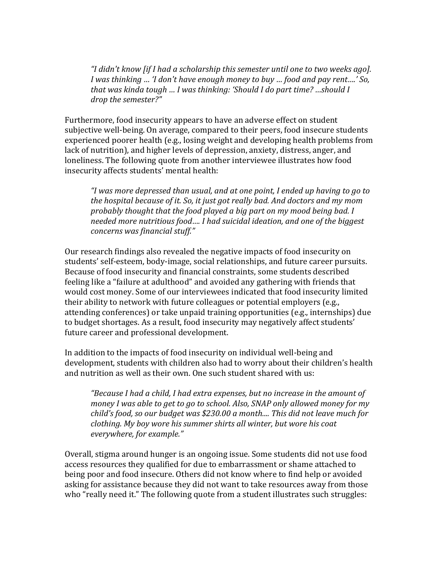"I didn't know [if I had a scholarship this semester until one to two weeks ago]. *I* was thinking … 'I don't have enough money to buy ... food and pay rent....' So, *that* was kinda *tough* ... *I* was *thinking:* 'Should *I* do part *time?* ...should *I drop the semester?"*

Furthermore, food insecurity appears to have an adverse effect on student subjective well-being. On average, compared to their peers, food insecure students experienced poorer health (e.g., losing weight and developing health problems from lack of nutrition), and higher levels of depression, anxiety, distress, anger, and loneliness. The following quote from another interviewee illustrates how food insecurity affects students' mental health:

*"I* was more depressed than usual, and at one point, I ended up having to go to *the hospital because of it. So, it just got really bad. And doctors and my mom* probably thought that the food played a big part on my mood being bad. I *needed more nutritious food.... I had suicidal ideation, and one of the biggest concerns was financial stuff."*

Our research findings also revealed the negative impacts of food insecurity on students' self-esteem, body-image, social relationships, and future career pursuits. Because of food insecurity and financial constraints, some students described feeling like a "failure at adulthood" and avoided any gathering with friends that would cost money. Some of our interviewees indicated that food insecurity limited their ability to network with future colleagues or potential employers (e.g., attending conferences) or take unpaid training opportunities (e.g., internships) due to budget shortages. As a result, food insecurity may negatively affect students' future career and professional development.

In addition to the impacts of food insecurity on individual well-being and development, students with children also had to worry about their children's health and nutrition as well as their own. One such student shared with us:

*"Because I had a child, I had extra expenses, but no increase in the amount of money I was able to get to go to school. Also, SNAP only allowed money for my child's* food, so our budget was \$230.00 a month.... This did not leave much for *clothing.* My boy wore his summer shirts all winter, but wore his coat *everywhere, for example."* 

Overall, stigma around hunger is an ongoing issue. Some students did not use food access resources they qualified for due to embarrassment or shame attached to being poor and food insecure. Others did not know where to find help or avoided asking for assistance because they did not want to take resources away from those who "really need it." The following quote from a student illustrates such struggles: